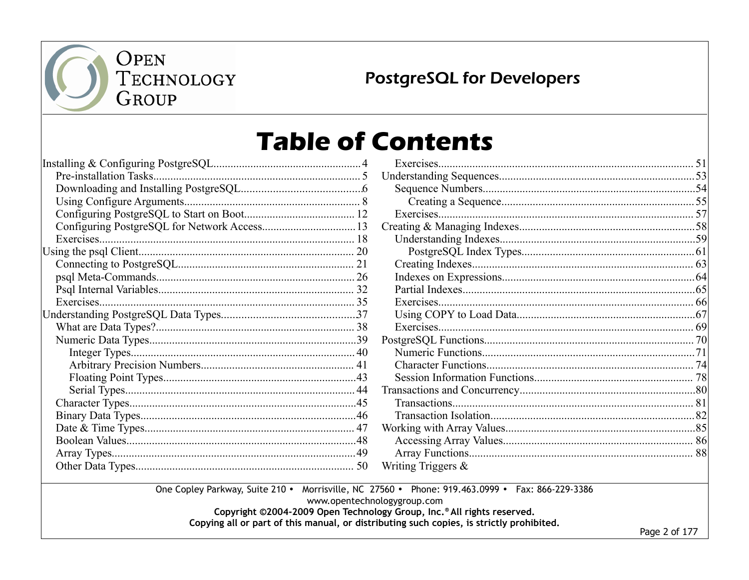

**PostgreSQL for Developers** 

## **Table of Contents**

| Writing Triggers $\&$ |  |
|-----------------------|--|
|                       |  |

www.opentechnologygroup.com

Copyright ©2004-2009 Open Technology Group, Inc.® All rights reserved.

Copying all or part of this manual, or distributing such copies, is strictly prohibited.